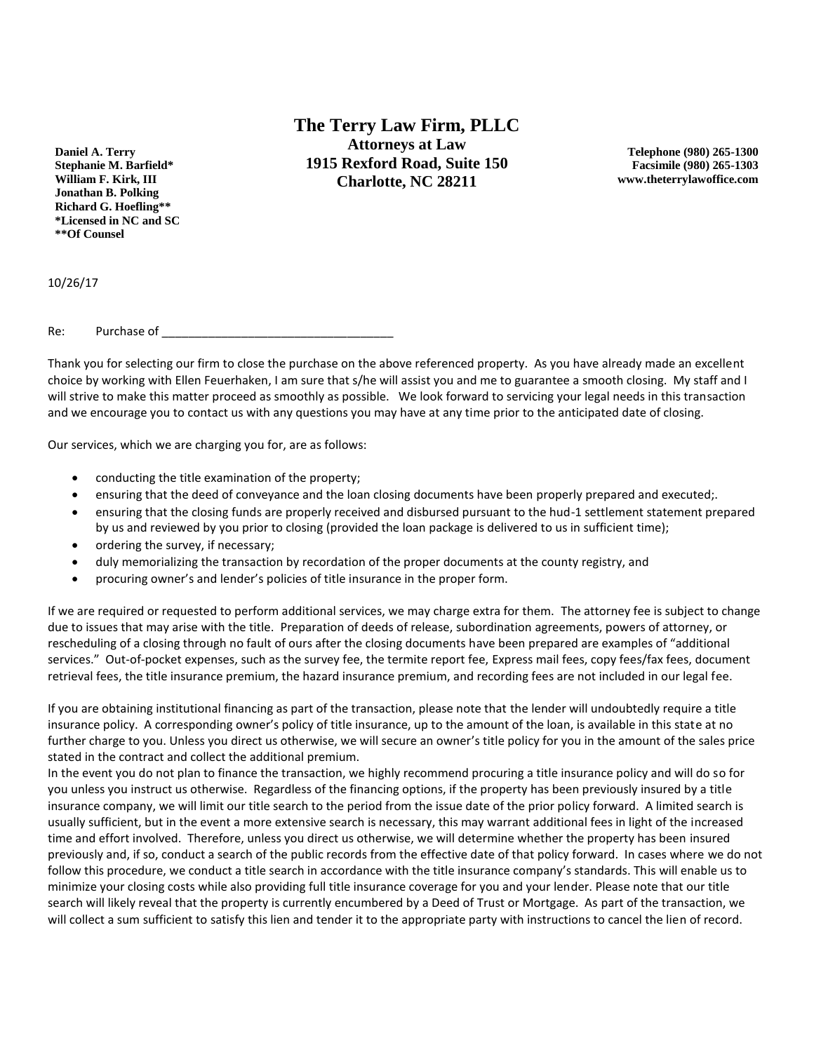**Daniel A. Terry Stephanie M. Barfield\* William F. Kirk, III Jonathan B. Polking Richard G. Hoefling\*\* \*Licensed in NC and SC \*\*Of Counsel**

**The Terry Law Firm, PLLC Attorneys at Law 1915 Rexford Road, Suite 150 Charlotte, NC 28211**

**Telephone (980) 265-1300 Facsimile (980) 265-1303 www.theterrylawoffice.com**

10/26/17

Re: Purchase of

Thank you for selecting our firm to close the purchase on the above referenced property. As you have already made an excellent choice by working with Ellen Feuerhaken, I am sure that s/he will assist you and me to guarantee a smooth closing. My staff and I will strive to make this matter proceed as smoothly as possible. We look forward to servicing your legal needs in this transaction and we encourage you to contact us with any questions you may have at any time prior to the anticipated date of closing.

Our services, which we are charging you for, are as follows:

- conducting the title examination of the property;
- ensuring that the deed of conveyance and the loan closing documents have been properly prepared and executed;.
- ensuring that the closing funds are properly received and disbursed pursuant to the hud-1 settlement statement prepared by us and reviewed by you prior to closing (provided the loan package is delivered to us in sufficient time);
- ordering the survey, if necessary;
- duly memorializing the transaction by recordation of the proper documents at the county registry, and
- procuring owner's and lender's policies of title insurance in the proper form.

If we are required or requested to perform additional services, we may charge extra for them. The attorney fee is subject to change due to issues that may arise with the title. Preparation of deeds of release, subordination agreements, powers of attorney, or rescheduling of a closing through no fault of ours after the closing documents have been prepared are examples of "additional services." Out-of-pocket expenses, such as the survey fee, the termite report fee, Express mail fees, copy fees/fax fees, document retrieval fees, the title insurance premium, the hazard insurance premium, and recording fees are not included in our legal fee.

If you are obtaining institutional financing as part of the transaction, please note that the lender will undoubtedly require a title insurance policy. A corresponding owner's policy of title insurance, up to the amount of the loan, is available in this state at no further charge to you. Unless you direct us otherwise, we will secure an owner's title policy for you in the amount of the sales price stated in the contract and collect the additional premium.

In the event you do not plan to finance the transaction, we highly recommend procuring a title insurance policy and will do so for you unless you instruct us otherwise. Regardless of the financing options, if the property has been previously insured by a title insurance company, we will limit our title search to the period from the issue date of the prior policy forward. A limited search is usually sufficient, but in the event a more extensive search is necessary, this may warrant additional fees in light of the increased time and effort involved. Therefore, unless you direct us otherwise, we will determine whether the property has been insured previously and, if so, conduct a search of the public records from the effective date of that policy forward. In cases where we do not follow this procedure, we conduct a title search in accordance with the title insurance company's standards. This will enable us to minimize your closing costs while also providing full title insurance coverage for you and your lender. Please note that our title search will likely reveal that the property is currently encumbered by a Deed of Trust or Mortgage. As part of the transaction, we will collect a sum sufficient to satisfy this lien and tender it to the appropriate party with instructions to cancel the lien of record.